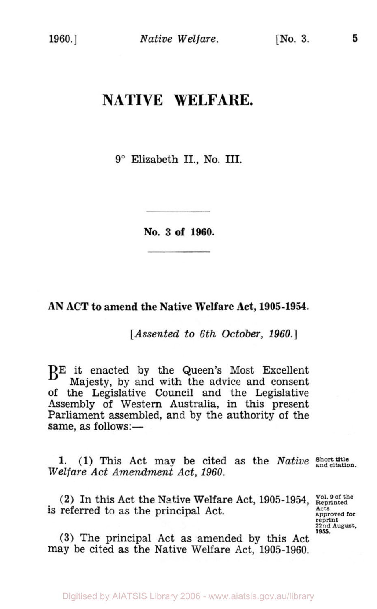## **NATIVE WELFARE.**

9" Elizabeth **II., No. III.** 

**No. 3 of 1960.** 

**AN ACT to amend the Native Welfare Act, 1905-1954.** 

*[Assented to 6th October, 1960.]* 

BE it enacted by the Queen's Most Excellent Majesty, by and with the advice and consent of the Legislative Council and the Legislative Assembly of Western Australia, in this present Parliament assembled, and by the authority of the same, as follows:-

**1. (1) This** Act may be cited as the *Native Welfare Act Amendment Act, 1960.* 

(2) In this Act the Native Welfare Act, 1905-1954, **Vol. 9 of the** is referred to as the principal Act.

**Acta approved for reprint 22nd August. 1955.** 

**(3)** The principal Act as amended by this Act may be cited as the Native Welfare Act, 1905-1960.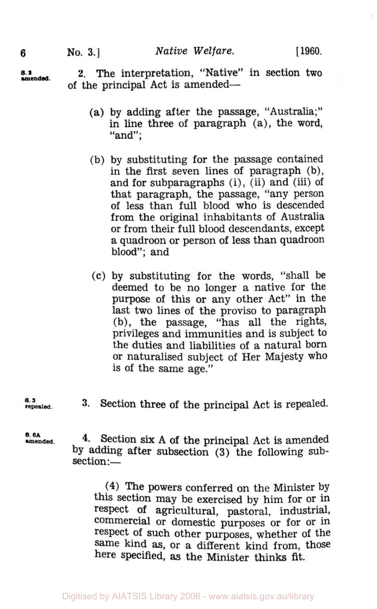**s. 2 amended 2.** The interpretation, "Native" in section two of the principal Act is amended-

- (a) by adding after the passage, "Australia;" in line three of paragraph (a), the word, "and";
- (b) by substituting for the passage contained in the first seven lines of paragraph (b), and for subparagraphs (i), (ii) and (iii) of that paragraph, the passage, "any person of less than full blood who is descended from the original inhabitants of Australia or from their full blood descendants, except a quadroon or person of less than quadroon blood"; and
- *(c)* by substituting for the words, "shall be deemed to be no longer a native for the purpose of this or any other Act" in the last two lines of the proviso to paragraph (b), the passage, "has all the rights, privileges and immunities and is subject to the duties and liabilities of a natural born or naturalised subject of Her Majesty who is of the same age."
- **repealed.**
- **3.** Section three of the principal Act is repealed. **s. 3**

**s. 6A** 

**amended. 4.** Section **six** A of the principal Act is amended by adding after subsection **(3)** the following subsection:-

**(4)** The powers conferred on the Minister by this section may be exercised by him for or in respect **of** agricultural, pastoral, industrial, commercial or domestic purposes or for or in respect of such other purposes, whether **of** the Same kind as, or a different kind from, those here specified, **as** the Minister thinks fit.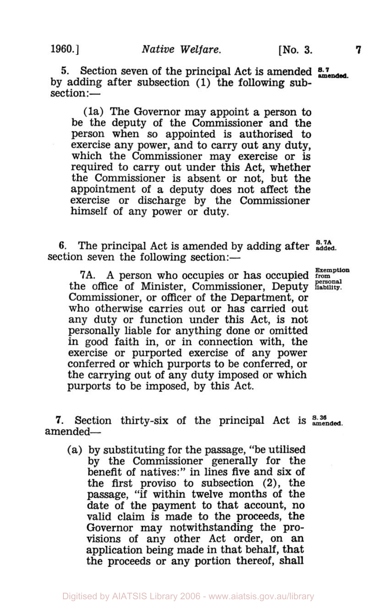**5.** Section seven of the principal Act is amended **s.** 7 amended. by adding after subsection (1) the following subsection :-

(la) The Governor may appoint a person to be the deputy of the Commissioner and the person when so appointed is authorised to exercise any power, and to carry out any duty, which the Commissioner may exercise or is required to carry out under this Act, whether the Commissioner is absent or not, but the appointment of a deputy does not affect the exercise or discharge by the Commissioner himself **of** any power or duty.

**6.** The principal Act is amended by adding after  $\frac{8.7A}{added}$ section seven the following section:-

7A. **A** person who occupies or has occupied **from Exemption personal** the office of Minister, Commissioner, Deputy **liability.**  Commissioner, or officer of the Department, or who otherwise carries out or has carried out any duty or function under this Act, is not personally liable for anything done or omitted in good faith in, or in connection with, the exercise or purported exercise of any power conferred or which purports to be conferred, or the carrying out of any duty imposed or which purports to be imposed, by this Act.

**7.** Section thirty-six of the principal Act is **s. 36 amended.**  amended-

(a) by substituting for the passage, "be utilised by the Commissioner generally for the benefit **of** natives:" in lines five and six of the first proviso to subsection **(2),** the passage, "if within twelve months of the date of the payment to that account, no valid claim is made to the proceeds, the Governor may notwithstanding the provisions **of** any other Act order, on an application being made in that behalf, that the proceeds or any portion thereof, shall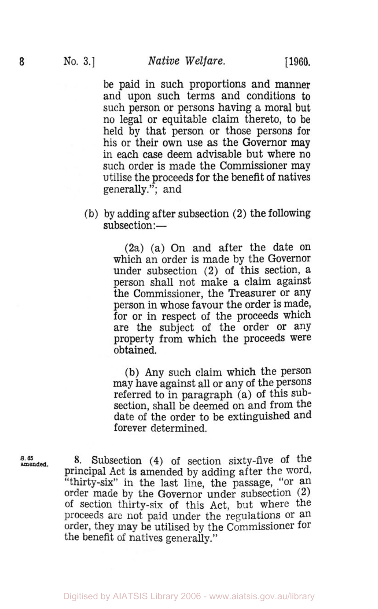be paid in such proportions and manner and upon such terms and conditions to such person or persons having a moral but no legal or equitable claim thereto, to be held by that person or those persons for his or their own use as the Governor may in each case deem advisable but where no such order is made the Commissioner may utilise the proceeds for the benefit of natives generally."; and

**(b)** by adding after subsection (2) the following subsection:-

> (2a) (a) On and after the date on which an order is made by the Governor under subsection (2) of this section, a person shall not make a claim against the Commissioner, the Treasurer or any person in whose favour the order is made, for or in respect of the proceeds which are the subject of the order or any property from which the proceeds were obtained.

> (b) Any such claim which the person may have against all or any of the persons referred to in paragraph (a) of this subsection, shall be deemed on and from the date of the order to be extinguished and forever determined.

*s.* **amended. 65 8.** Subsection **(4)** of section sixty-five of the Principal Act is amended by adding after the word, "thirty-six" in the last line, the passage, "or an order made by the Governor under subsection **(2)**  Of section thirty-six of this Act, but where the proceeds are not paid under the regulations or an order, they may be utilised by the Commissioner for the benefit of natives generally."